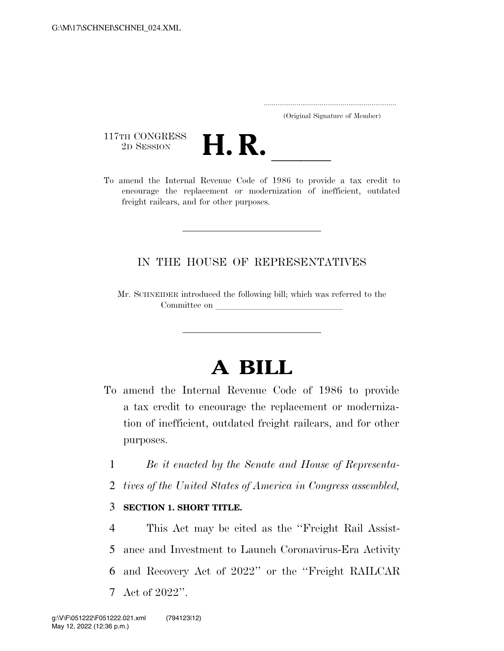..................................................................... (Original Signature of Member)

117TH CONGRESS<br>2D SESSION



117TH CONGRESS<br>
2D SESSION<br>
To amend the Internal Revenue Code of 1986 to provide a tax credit to encourage the replacement or modernization of inefficient, outdated freight railcars, and for other purposes.

### IN THE HOUSE OF REPRESENTATIVES

Mr. SCHNEIDER introduced the following bill; which was referred to the Committee on

# **A BILL**

- To amend the Internal Revenue Code of 1986 to provide a tax credit to encourage the replacement or modernization of inefficient, outdated freight railcars, and for other purposes.
	- 1 *Be it enacted by the Senate and House of Representa-*
	- 2 *tives of the United States of America in Congress assembled,*

#### 3 **SECTION 1. SHORT TITLE.**

 This Act may be cited as the ''Freight Rail Assist- ance and Investment to Launch Coronavirus-Era Activity and Recovery Act of 2022'' or the ''Freight RAILCAR Act of 2022''.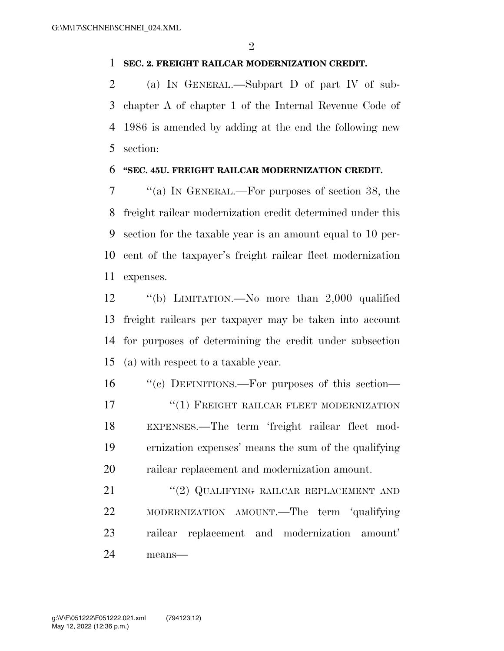#### **SEC. 2. FREIGHT RAILCAR MODERNIZATION CREDIT.**

 (a) IN GENERAL.—Subpart D of part IV of sub- chapter A of chapter 1 of the Internal Revenue Code of 1986 is amended by adding at the end the following new section:

#### **''SEC. 45U. FREIGHT RAILCAR MODERNIZATION CREDIT.**

 ''(a) IN GENERAL.—For purposes of section 38, the freight railcar modernization credit determined under this section for the taxable year is an amount equal to 10 per- cent of the taxpayer's freight railcar fleet modernization expenses.

 ''(b) LIMITATION.—No more than 2,000 qualified freight railcars per taxpayer may be taken into account for purposes of determining the credit under subsection (a) with respect to a taxable year.

 ''(c) DEFINITIONS.—For purposes of this section— **The CONSTRUCTER IN THE SET ASSESS** TO FREIGHT RAILCAR FLEET MODERNIZATION EXPENSES.—The term 'freight railcar fleet mod- ernization expenses' means the sum of the qualifying railcar replacement and modernization amount.

21 "(2) QUALIFYING RAILCAR REPLACEMENT AND MODERNIZATION AMOUNT.—The term 'qualifying railcar replacement and modernization amount' means—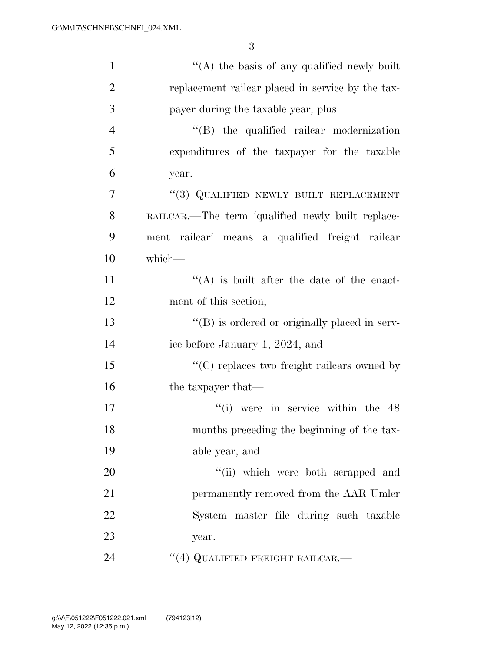| $\mathbf{1}$   | "(A) the basis of any qualified newly built           |
|----------------|-------------------------------------------------------|
| $\overline{2}$ | replacement railear placed in service by the tax-     |
| 3              | payer during the taxable year, plus                   |
| $\overline{4}$ | $\lq\lq$ the qualified railear modernization          |
| 5              | expenditures of the taxpayer for the taxable          |
| 6              | year.                                                 |
| 7              | "(3) QUALIFIED NEWLY BUILT REPLACEMENT                |
| 8              | RAILCAR.—The term 'qualified newly built replace-     |
| 9              | ment railcar' means a qualified freight railcar       |
| 10             | which-                                                |
| 11             | $\lq\lq$ is built after the date of the enact-        |
| 12             | ment of this section,                                 |
| 13             | $\lq\lq (B)$ is ordered or originally placed in serv- |
| 14             | ice before January 1, 2024, and                       |
| 15             | "(C) replaces two freight railcars owned by           |
| 16             | the taxpayer that—                                    |
| 17             | $\degree$ (i) were in service within the 48           |
| 18             | months preceding the beginning of the tax-            |
| 19             | able year, and                                        |
| 20             | "(ii) which were both scrapped and                    |
| 21             | permanently removed from the AAR Umler                |
| 22             | System master file during such taxable                |
| 23             | year.                                                 |
| 24             | "(4) QUALIFIED FREIGHT RAILCAR.-                      |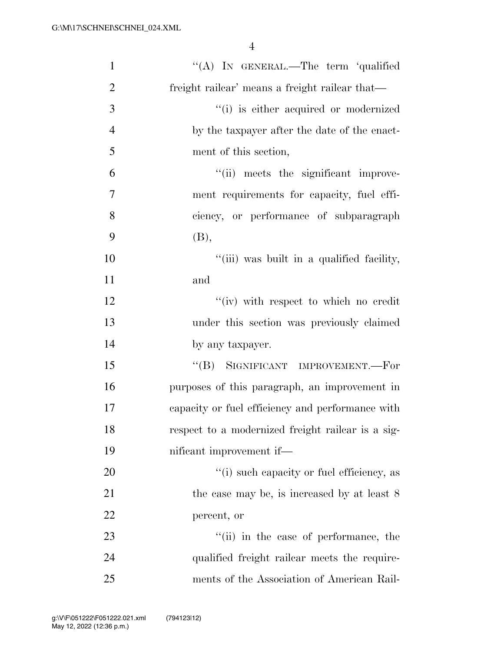| $\mathbf{1}$   | "(A) IN GENERAL.—The term 'qualified              |
|----------------|---------------------------------------------------|
| $\overline{2}$ | freight railear' means a freight railear that—    |
| 3              | "(i) is either acquired or modernized             |
| $\overline{4}$ | by the taxpayer after the date of the enact-      |
| 5              | ment of this section,                             |
| 6              | "(ii) meets the significant improve-              |
| 7              | ment requirements for capacity, fuel effi-        |
| 8              | ciency, or performance of subparagraph            |
| 9              | (B),                                              |
| 10             | "(iii) was built in a qualified facility,         |
| 11             | and                                               |
| 12             | "(iv) with respect to which no credit             |
| 13             | under this section was previously claimed         |
| 14             | by any taxpayer.                                  |
| 15             | "(B) SIGNIFICANT IMPROVEMENT.—For                 |
| 16             | purposes of this paragraph, an improvement in     |
| 17             | capacity or fuel efficiency and performance with  |
| 18             | respect to a modernized freight railcar is a sig- |
| 19             | nificant improvement if—                          |
| 20             | "(i) such capacity or fuel efficiency, as         |
| 21             | the case may be, is increased by at least 8       |
| 22             | percent, or                                       |
| 23             | "(ii) in the case of performance, the             |
| 24             | qualified freight railcar meets the require-      |
| 25             | ments of the Association of American Rail-        |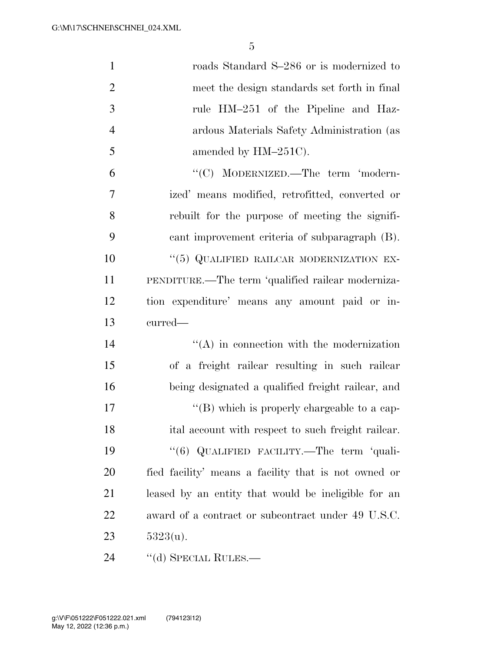| $\mathbf{1}$   | roads Standard S-286 or is modernized to             |
|----------------|------------------------------------------------------|
| $\overline{2}$ | meet the design standards set forth in final         |
| 3              | rule HM-251 of the Pipeline and Haz-                 |
| $\overline{4}$ | ardous Materials Safety Administration (as           |
| 5              | amended by HM-251C).                                 |
| 6              | "(C) MODERNIZED.—The term 'modern-                   |
| $\tau$         | ized' means modified, retrofitted, converted or      |
| 8              | rebuilt for the purpose of meeting the signifi-      |
| 9              | cant improvement criteria of subparagraph (B).       |
| 10             | "(5) QUALIFIED RAILCAR MODERNIZATION EX-             |
| 11             | PENDITURE.—The term 'qualified railcar moderniza-    |
| 12             | tion expenditure' means any amount paid or in-       |
| 13             | curred—                                              |
| 14             | $\lq\lq$ in connection with the modernization        |
| 15             | of a freight railcar resulting in such railcar       |
| 16             | being designated a qualified freight railcar, and    |
| 17             | "(B) which is properly chargeable to a cap-          |
| 18             | ital account with respect to such freight railcar.   |
| 19             | "(6) QUALIFIED FACILITY.—The term 'quali-            |
| 20             | fied facility' means a facility that is not owned or |
| 21             | leased by an entity that would be ineligible for an  |
| 22             | award of a contract or subcontract under 49 U.S.C.   |
|                |                                                      |
| 23             | $5323(u)$ .                                          |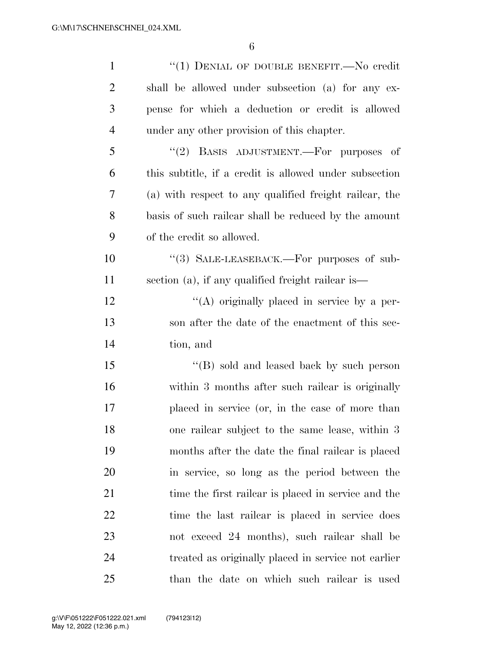| $\mathbf{1}$   | "(1) DENIAL OF DOUBLE BENEFIT.—No credit               |
|----------------|--------------------------------------------------------|
| $\overline{2}$ | shall be allowed under subsection (a) for any ex-      |
| 3              | pense for which a deduction or credit is allowed       |
| $\overline{4}$ | under any other provision of this chapter.             |
| 5              | "(2) BASIS ADJUSTMENT.—For purposes of                 |
| 6              | this subtitle, if a credit is allowed under subsection |
| 7              | (a) with respect to any qualified freight railcar, the |
| 8              | basis of such railcar shall be reduced by the amount   |
| 9              | of the credit so allowed.                              |
| 10             | "(3) SALE-LEASEBACK.—For purposes of sub-              |
| 11             | section (a), if any qualified freight railcar is—      |
| 12             | "(A) originally placed in service by a per-            |
| 13             | son after the date of the enactment of this sec-       |
| 14             | tion, and                                              |
| 15             | "(B) sold and leased back by such person               |
| 16             | within 3 months after such railcar is originally       |
| 17             | placed in service (or, in the case of more than        |
| 18             | one railcar subject to the same lease, within 3        |
| 19             | months after the date the final railear is placed      |
| 20             | in service, so long as the period between the          |
| 21             | time the first railcar is placed in service and the    |
| 22             | time the last railcar is placed in service does        |
| 23             | not exceed 24 months), such railcar shall be           |
| 24             | treated as originally placed in service not earlier    |
| 25             | than the date on which such railcar is used            |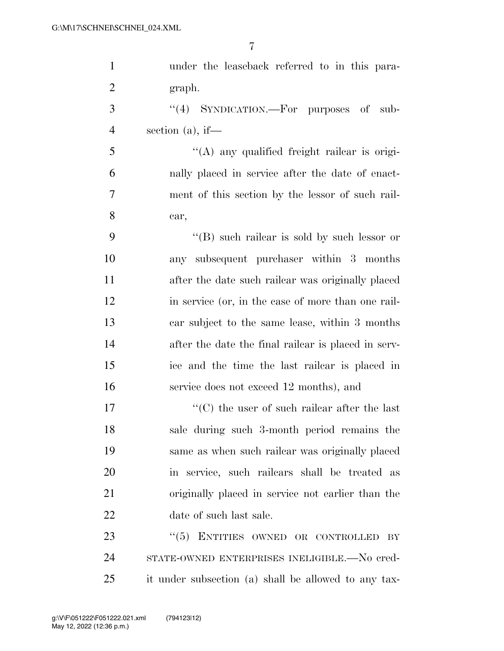| $\mathbf{1}$   | under the leaseback referred to in this para-        |
|----------------|------------------------------------------------------|
| $\overline{2}$ | graph.                                               |
| 3              | "(4) SYNDICATION.—For purposes of<br>sub-            |
| $\overline{4}$ | section $(a)$ , if—                                  |
| 5              | "(A) any qualified freight railear is origi-         |
| 6              | nally placed in service after the date of enact-     |
| 7              | ment of this section by the lessor of such rail-     |
| 8              | car,                                                 |
| 9              | "(B) such railcar is sold by such lessor or          |
| 10             | any subsequent purchaser within 3 months             |
| 11             | after the date such railcar was originally placed    |
| 12             | in service (or, in the case of more than one rail-   |
| 13             | car subject to the same lease, within 3 months       |
| 14             | after the date the final railcar is placed in serv-  |
| 15             | ice and the time the last railcar is placed in       |
| 16             | service does not exceed 12 months), and              |
| 17             | $\cdot$ (C) the user of such railear after the last  |
| 18             | sale during such 3-month period remains the          |
| 19             | same as when such railcar was originally placed      |
| 20             | in service, such railcars shall be treated as        |
| 21             | originally placed in service not earlier than the    |
| 22             | date of such last sale.                              |
| 23             | $\cdot\cdot$ (5) ENTITIES OWNED OR CONTROLLED<br>BY  |
| 24             | STATE-OWNED ENTERPRISES INELIGIBLE.—No cred-         |
| 25             | it under subsection (a) shall be allowed to any tax- |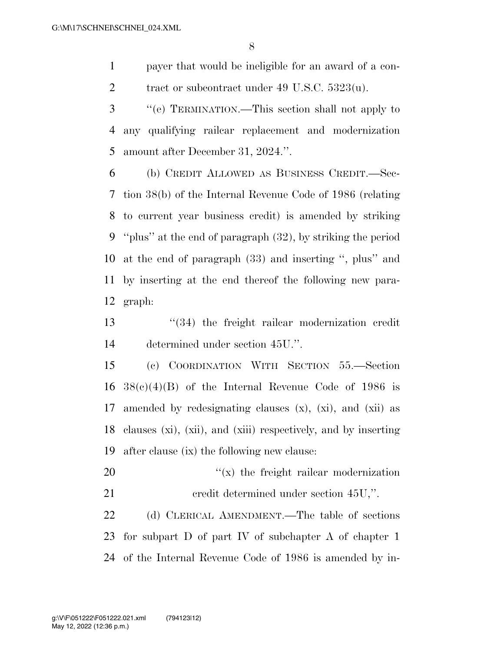payer that would be ineligible for an award of a con-2 tract or subcontract under 49 U.S.C.  $5323(u)$ .

 ''(e) TERMINATION.—This section shall not apply to any qualifying railcar replacement and modernization amount after December 31, 2024.''.

 (b) CREDIT ALLOWED AS BUSINESS CREDIT.—Sec- tion 38(b) of the Internal Revenue Code of 1986 (relating to current year business credit) is amended by striking ''plus'' at the end of paragraph (32), by striking the period at the end of paragraph (33) and inserting '', plus'' and by inserting at the end thereof the following new para-graph:

 ''(34) the freight railcar modernization credit determined under section 45U.''.

 (c) COORDINATION WITH SECTION 55.—Section  $38(c)(4)(B)$  of the Internal Revenue Code of 1986 is amended by redesignating clauses (x), (xi), and (xii) as clauses (xi), (xii), and (xiii) respectively, and by inserting after clause (ix) the following new clause:

20  $\gamma(x)$  the freight railcar modernization 21 credit determined under section 45U,".

 (d) CLERICAL AMENDMENT.—The table of sections for subpart D of part IV of subchapter A of chapter 1 of the Internal Revenue Code of 1986 is amended by in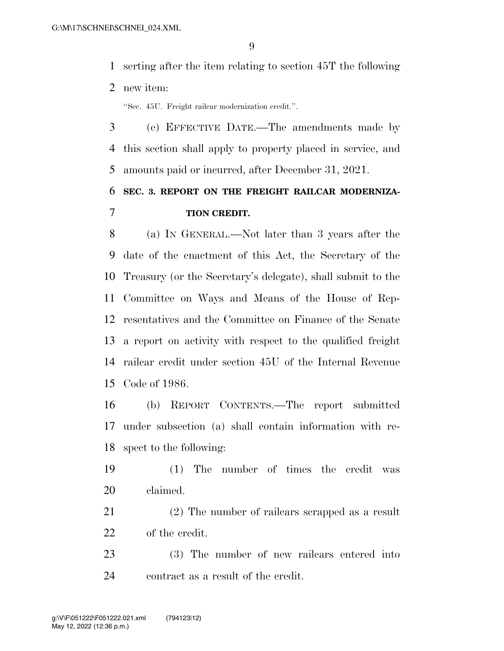serting after the item relating to section 45T the following new item:

''Sec. 45U. Freight railcar modernization credit.''.

 (e) EFFECTIVE DATE.—The amendments made by this section shall apply to property placed in service, and amounts paid or incurred, after December 31, 2021.

## **SEC. 3. REPORT ON THE FREIGHT RAILCAR MODERNIZA-TION CREDIT.**

 (a) IN GENERAL.—Not later than 3 years after the date of the enactment of this Act, the Secretary of the Treasury (or the Secretary's delegate), shall submit to the Committee on Ways and Means of the House of Rep- resentatives and the Committee on Finance of the Senate a report on activity with respect to the qualified freight railcar credit under section 45U of the Internal Revenue Code of 1986.

 (b) REPORT CONTENTS.—The report submitted under subsection (a) shall contain information with re-spect to the following:

 (1) The number of times the credit was claimed.

 (2) The number of railcars scrapped as a result of the credit.

 (3) The number of new railcars entered into contract as a result of the credit.